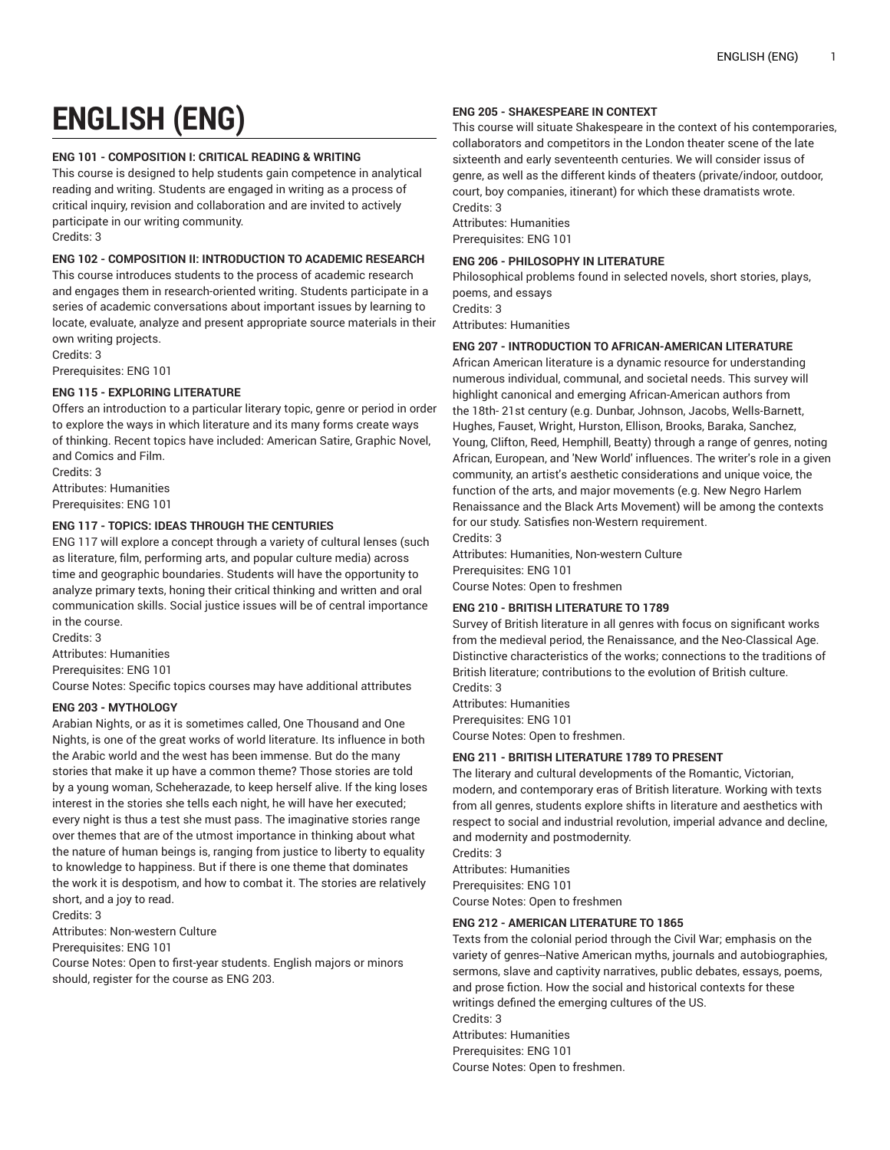# **ENGLISH (ENG)**

## **ENG 101 - COMPOSITION I: CRITICAL READING & WRITING**

This course is designed to help students gain competence in analytical reading and writing. Students are engaged in writing as a process of critical inquiry, revision and collaboration and are invited to actively participate in our writing community. Credits: 3

#### **ENG 102 - COMPOSITION II: INTRODUCTION TO ACADEMIC RESEARCH**

This course introduces students to the process of academic research and engages them in research-oriented writing. Students participate in a series of academic conversations about important issues by learning to locate, evaluate, analyze and present appropriate source materials in their own writing projects.

Credits: 3

Prerequisites: ENG 101

# **ENG 115 - EXPLORING LITERATURE**

Offers an introduction to a particular literary topic, genre or period in order to explore the ways in which literature and its many forms create ways of thinking. Recent topics have included: American Satire, Graphic Novel, and Comics and Film.

Credits: 3 Attributes: Humanities Prerequisites: ENG 101

#### **ENG 117 - TOPICS: IDEAS THROUGH THE CENTURIES**

ENG 117 will explore a concept through a variety of cultural lenses (such as literature, film, performing arts, and popular culture media) across time and geographic boundaries. Students will have the opportunity to analyze primary texts, honing their critical thinking and written and oral communication skills. Social justice issues will be of central importance in the course.

Credits: 3 Attributes: Humanities Prerequisites: ENG 101

Course Notes: Specific topics courses may have additional attributes

#### **ENG 203 - MYTHOLOGY**

Arabian Nights, or as it is sometimes called, One Thousand and One Nights, is one of the great works of world literature. Its influence in both the Arabic world and the west has been immense. But do the many stories that make it up have a common theme? Those stories are told by a young woman, Scheherazade, to keep herself alive. If the king loses interest in the stories she tells each night, he will have her executed; every night is thus a test she must pass. The imaginative stories range over themes that are of the utmost importance in thinking about what the nature of human beings is, ranging from justice to liberty to equality to knowledge to happiness. But if there is one theme that dominates the work it is despotism, and how to combat it. The stories are relatively short, and a joy to read.

Credits: 3

Attributes: Non-western Culture

Prerequisites: ENG 101

Course Notes: Open to first-year students. English majors or minors should, register for the course as ENG 203.

#### **ENG 205 - SHAKESPEARE IN CONTEXT**

This course will situate Shakespeare in the context of his contemporaries, collaborators and competitors in the London theater scene of the late sixteenth and early seventeenth centuries. We will consider issus of genre, as well as the different kinds of theaters (private/indoor, outdoor, court, boy companies, itinerant) for which these dramatists wrote. Credits: 3

Attributes: Humanities Prerequisites: ENG 101

## **ENG 206 - PHILOSOPHY IN LITERATURE**

Philosophical problems found in selected novels, short stories, plays, poems, and essays Credits: 3

Attributes: Humanities

#### **ENG 207 - INTRODUCTION TO AFRICAN-AMERICAN LITERATURE**

African American literature is a dynamic resource for understanding numerous individual, communal, and societal needs. This survey will highlight canonical and emerging African-American authors from the 18th- 21st century (e.g. Dunbar, Johnson, Jacobs, Wells-Barnett, Hughes, Fauset, Wright, Hurston, Ellison, Brooks, Baraka, Sanchez, Young, Clifton, Reed, Hemphill, Beatty) through a range of genres, noting African, European, and 'New World' influences. The writer's role in a given community, an artist's aesthetic considerations and unique voice, the function of the arts, and major movements (e.g. New Negro Harlem Renaissance and the Black Arts Movement) will be among the contexts for our study. Satisfies non-Western requirement. Credits: 3

Attributes: Humanities, Non-western Culture Prerequisites: ENG 101 Course Notes: Open to freshmen

## **ENG 210 - BRITISH LITERATURE TO 1789**

Survey of British literature in all genres with focus on significant works from the medieval period, the Renaissance, and the Neo-Classical Age. Distinctive characteristics of the works; connections to the traditions of British literature; contributions to the evolution of British culture. Credits: 3

Attributes: Humanities Prerequisites: ENG 101 Course Notes: Open to freshmen.

# **ENG 211 - BRITISH LITERATURE 1789 TO PRESENT**

The literary and cultural developments of the Romantic, Victorian, modern, and contemporary eras of British literature. Working with texts from all genres, students explore shifts in literature and aesthetics with respect to social and industrial revolution, imperial advance and decline, and modernity and postmodernity.

Credits: 3 Attributes: Humanities Prerequisites: ENG 101 Course Notes: Open to freshmen

#### **ENG 212 - AMERICAN LITERATURE TO 1865**

Texts from the colonial period through the Civil War; emphasis on the variety of genres--Native American myths, journals and autobiographies, sermons, slave and captivity narratives, public debates, essays, poems, and prose fiction. How the social and historical contexts for these writings defined the emerging cultures of the US. Credits: 3 Attributes: Humanities Prerequisites: ENG 101

Course Notes: Open to freshmen.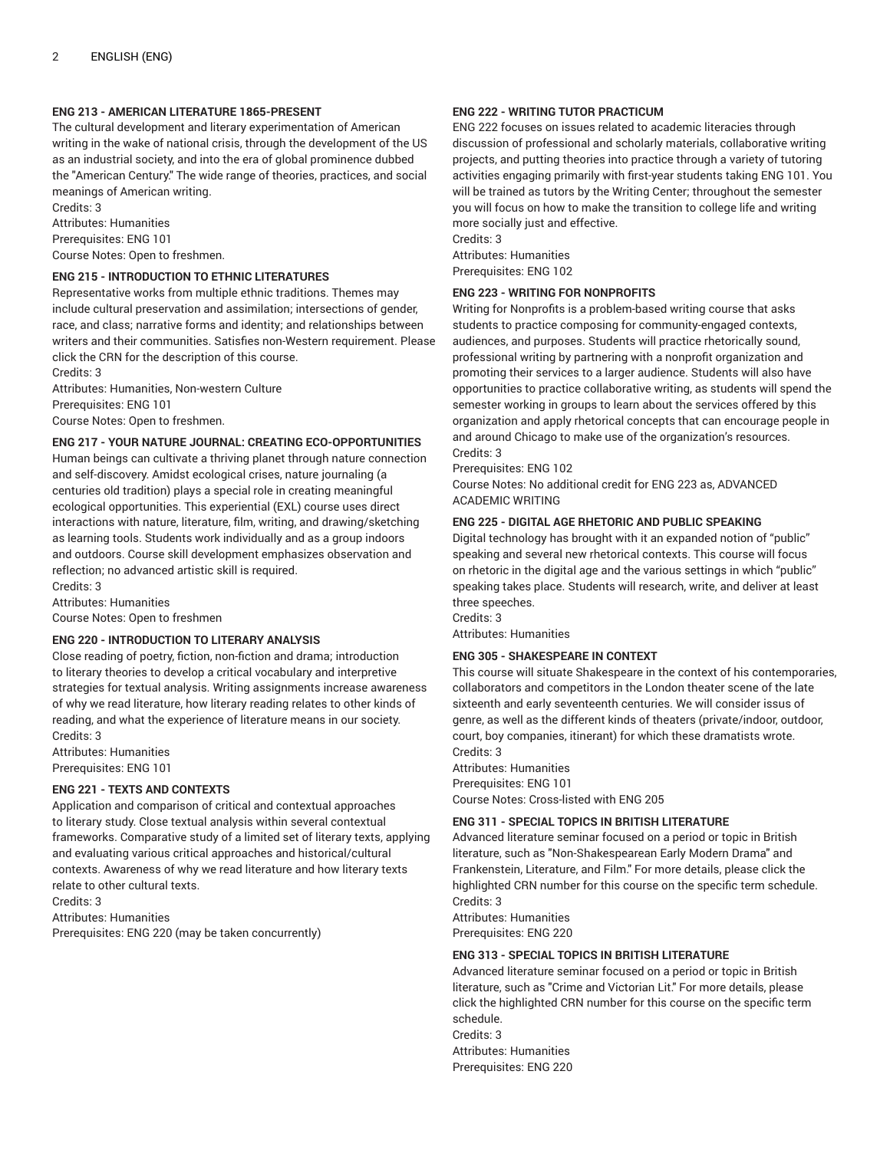# **ENG 213 - AMERICAN LITERATURE 1865-PRESENT**

The cultural development and literary experimentation of American writing in the wake of national crisis, through the development of the US as an industrial society, and into the era of global prominence dubbed the "American Century." The wide range of theories, practices, and social meanings of American writing.

Credits: 3 Attributes: Humanities Prerequisites: ENG 101 Course Notes: Open to freshmen.

## **ENG 215 - INTRODUCTION TO ETHNIC LITERATURES**

Representative works from multiple ethnic traditions. Themes may include cultural preservation and assimilation; intersections of gender, race, and class; narrative forms and identity; and relationships between writers and their communities. Satisfies non-Western requirement. Please click the CRN for the description of this course.

Credits: 3 Attributes: Humanities, Non-western Culture Prerequisites: ENG 101 Course Notes: Open to freshmen.

# **ENG 217 - YOUR NATURE JOURNAL: CREATING ECO-OPPORTUNITIES**

Human beings can cultivate a thriving planet through nature connection and self-discovery. Amidst ecological crises, nature journaling (a centuries old tradition) plays a special role in creating meaningful ecological opportunities. This experiential (EXL) course uses direct interactions with nature, literature, film, writing, and drawing/sketching as learning tools. Students work individually and as a group indoors and outdoors. Course skill development emphasizes observation and reflection; no advanced artistic skill is required.

Credits: 3 Attributes: Humanities

Course Notes: Open to freshmen

## **ENG 220 - INTRODUCTION TO LITERARY ANALYSIS**

Close reading of poetry, fiction, non-fiction and drama; introduction to literary theories to develop a critical vocabulary and interpretive strategies for textual analysis. Writing assignments increase awareness of why we read literature, how literary reading relates to other kinds of reading, and what the experience of literature means in our society. Credits: 3

Attributes: Humanities Prerequisites: ENG 101

## **ENG 221 - TEXTS AND CONTEXTS**

Application and comparison of critical and contextual approaches to literary study. Close textual analysis within several contextual frameworks. Comparative study of a limited set of literary texts, applying and evaluating various critical approaches and historical/cultural contexts. Awareness of why we read literature and how literary texts relate to other cultural texts.

Credits: 3

Attributes: Humanities

Prerequisites: ENG 220 (may be taken concurrently)

# **ENG 222 - WRITING TUTOR PRACTICUM**

ENG 222 focuses on issues related to academic literacies through discussion of professional and scholarly materials, collaborative writing projects, and putting theories into practice through a variety of tutoring activities engaging primarily with first-year students taking ENG 101. You will be trained as tutors by the Writing Center; throughout the semester you will focus on how to make the transition to college life and writing more socially just and effective.

Credits: 3 Attributes: Humanities

Prerequisites: ENG 102

## **ENG 223 - WRITING FOR NONPROFITS**

Writing for Nonprofits is a problem-based writing course that asks students to practice composing for community-engaged contexts, audiences, and purposes. Students will practice rhetorically sound, professional writing by partnering with a nonprofit organization and promoting their services to a larger audience. Students will also have opportunities to practice collaborative writing, as students will spend the semester working in groups to learn about the services offered by this organization and apply rhetorical concepts that can encourage people in and around Chicago to make use of the organization's resources. Credits: 3

Prerequisites: ENG 102

Course Notes: No additional credit for ENG 223 as, ADVANCED ACADEMIC WRITING

## **ENG 225 - DIGITAL AGE RHETORIC AND PUBLIC SPEAKING**

Digital technology has brought with it an expanded notion of "public" speaking and several new rhetorical contexts. This course will focus on rhetoric in the digital age and the various settings in which "public" speaking takes place. Students will research, write, and deliver at least three speeches.

Credits: 3

Attributes: Humanities

## **ENG 305 - SHAKESPEARE IN CONTEXT**

This course will situate Shakespeare in the context of his contemporaries, collaborators and competitors in the London theater scene of the late sixteenth and early seventeenth centuries. We will consider issus of genre, as well as the different kinds of theaters (private/indoor, outdoor, court, boy companies, itinerant) for which these dramatists wrote. Credits: 3

Attributes: Humanities Prerequisites: ENG 101 Course Notes: Cross-listed with ENG 205

## **ENG 311 - SPECIAL TOPICS IN BRITISH LITERATURE**

Advanced literature seminar focused on a period or topic in British literature, such as "Non-Shakespearean Early Modern Drama" and Frankenstein, Literature, and Film." For more details, please click the highlighted CRN number for this course on the specific term schedule. Credits: 3

Attributes: Humanities Prerequisites: ENG 220

# **ENG 313 - SPECIAL TOPICS IN BRITISH LITERATURE**

Advanced literature seminar focused on a period or topic in British literature, such as "Crime and Victorian Lit." For more details, please click the highlighted CRN number for this course on the specific term schedule. Credits: 3 Attributes: Humanities

Prerequisites: ENG 220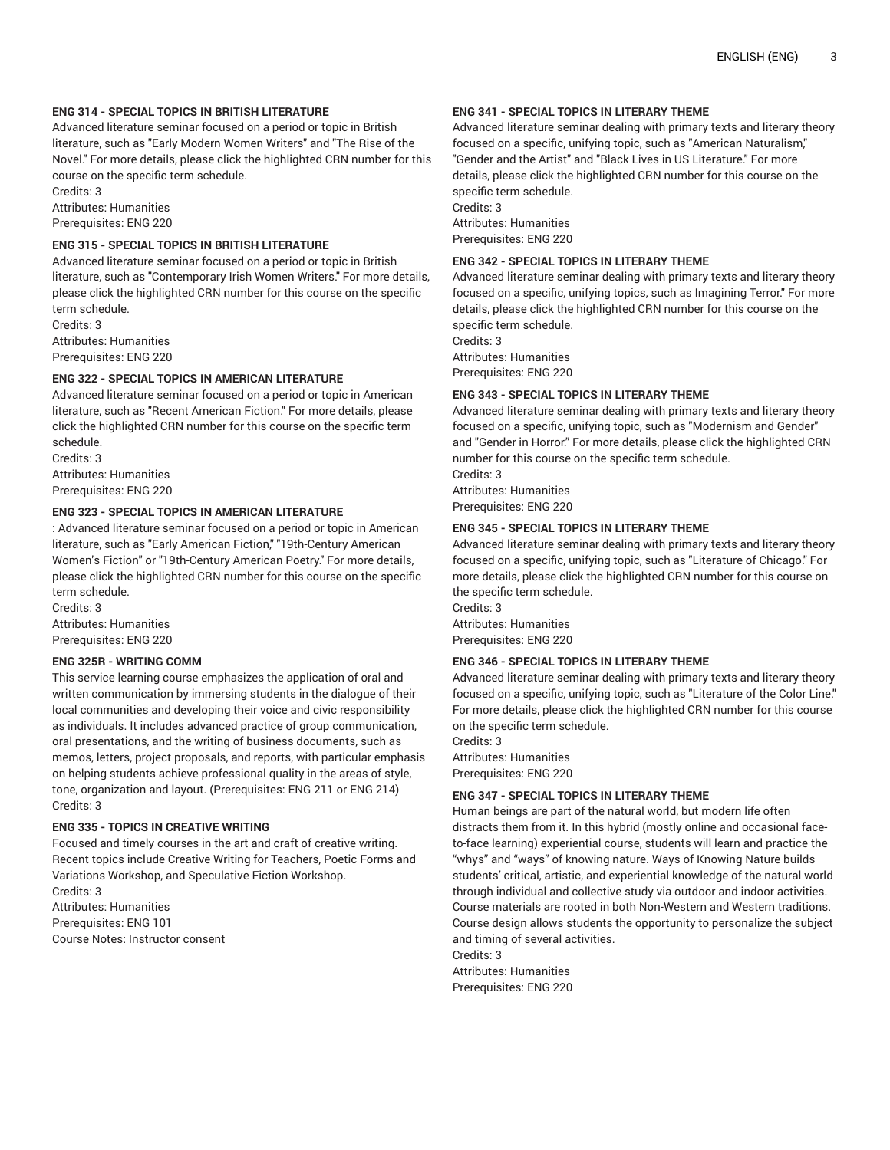## **ENG 314 - SPECIAL TOPICS IN BRITISH LITERATURE**

Advanced literature seminar focused on a period or topic in British literature, such as "Early Modern Women Writers" and "The Rise of the Novel." For more details, please click the highlighted CRN number for this course on the specific term schedule.

Credits: 3 Attributes: Humanities Prerequisites: ENG 220

#### **ENG 315 - SPECIAL TOPICS IN BRITISH LITERATURE**

Advanced literature seminar focused on a period or topic in British literature, such as "Contemporary Irish Women Writers." For more details, please click the highlighted CRN number for this course on the specific term schedule.

Credits: 3 Attributes: Humanities Prerequisites: ENG 220

#### **ENG 322 - SPECIAL TOPICS IN AMERICAN LITERATURE**

Advanced literature seminar focused on a period or topic in American literature, such as "Recent American Fiction." For more details, please click the highlighted CRN number for this course on the specific term schedule.

Credits: 3 Attributes: Humanities Prerequisites: ENG 220

# **ENG 323 - SPECIAL TOPICS IN AMERICAN LITERATURE**

: Advanced literature seminar focused on a period or topic in American literature, such as "Early American Fiction," "19th-Century American Women's Fiction" or "19th-Century American Poetry." For more details, please click the highlighted CRN number for this course on the specific term schedule.

Credits: 3 Attributes: Humanities Prerequisites: ENG 220

## **ENG 325R - WRITING COMM**

This service learning course emphasizes the application of oral and written communication by immersing students in the dialogue of their local communities and developing their voice and civic responsibility as individuals. It includes advanced practice of group communication, oral presentations, and the writing of business documents, such as memos, letters, project proposals, and reports, with particular emphasis on helping students achieve professional quality in the areas of style, tone, organization and layout. (Prerequisites: ENG 211 or ENG 214) Credits: 3

#### **ENG 335 - TOPICS IN CREATIVE WRITING**

Focused and timely courses in the art and craft of creative writing. Recent topics include Creative Writing for Teachers, Poetic Forms and Variations Workshop, and Speculative Fiction Workshop. Credits: 3 Attributes: Humanities Prerequisites: ENG 101

Course Notes: Instructor consent

## **ENG 341 - SPECIAL TOPICS IN LITERARY THEME**

Advanced literature seminar dealing with primary texts and literary theory focused on a specific, unifying topic, such as "American Naturalism," "Gender and the Artist" and "Black Lives in US Literature." For more details, please click the highlighted CRN number for this course on the specific term schedule. Credits: 3 Attributes: Humanities

Prerequisites: ENG 220

## **ENG 342 - SPECIAL TOPICS IN LITERARY THEME**

Advanced literature seminar dealing with primary texts and literary theory focused on a specific, unifying topics, such as Imagining Terror." For more details, please click the highlighted CRN number for this course on the specific term schedule.

Credits: 3 Attributes: Humanities Prerequisites: ENG 220

#### **ENG 343 - SPECIAL TOPICS IN LITERARY THEME**

Advanced literature seminar dealing with primary texts and literary theory focused on a specific, unifying topic, such as "Modernism and Gender" and "Gender in Horror." For more details, please click the highlighted CRN number for this course on the specific term schedule.

Credits: 3 Attributes: Humanities Prerequisites: ENG 220

#### **ENG 345 - SPECIAL TOPICS IN LITERARY THEME**

Advanced literature seminar dealing with primary texts and literary theory focused on a specific, unifying topic, such as "Literature of Chicago." For more details, please click the highlighted CRN number for this course on the specific term schedule.

Credits: 3 Attributes: Humanities Prerequisites: ENG 220

#### **ENG 346 - SPECIAL TOPICS IN LITERARY THEME**

Advanced literature seminar dealing with primary texts and literary theory focused on a specific, unifying topic, such as "Literature of the Color Line." For more details, please click the highlighted CRN number for this course on the specific term schedule.

Credits: 3 Attributes: Humanities Prerequisites: ENG 220

## **ENG 347 - SPECIAL TOPICS IN LITERARY THEME**

Human beings are part of the natural world, but modern life often distracts them from it. In this hybrid (mostly online and occasional faceto-face learning) experiential course, students will learn and practice the "whys" and "ways" of knowing nature. Ways of Knowing Nature builds students' critical, artistic, and experiential knowledge of the natural world through individual and collective study via outdoor and indoor activities. Course materials are rooted in both Non-Western and Western traditions. Course design allows students the opportunity to personalize the subject and timing of several activities.

Credits: 3 Attributes: Humanities Prerequisites: ENG 220